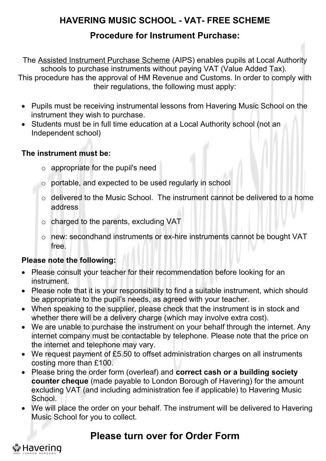## **HAVERING MUSIC SCHOOL - VAT- FREE SCHEME**

## **Procedure for Instrument Purchase:**

The [Assisted Instrument Purchase Scheme](http://www.essex.gov.uk/Activities/Arts%20Services/Essex%20Music%20Services/Instrument%20hire%20and%20purchase/Documents/AIPS%20Info%20Leaflet.pdf) (AIPS) enables pupils at Local Authority schools to purchase instruments without paying VAT (Value Added Tax). This procedure has the approval of HM Revenue and Customs. In order to comply with

their regulations, the following must apply:

- Pupils must be receiving instrumental lessons from Havering Music School on the instrument they wish to purchase.
- Students must be in full time education at a Local Authority school (not an Independent school)

#### **The instrument must be:**

- $\circ$  appropriate for the pupil's need
- o portable, and expected to be used regularly in school
- o delivered to the Music School. The instrument cannot be delivered to a home address
- o charged to the parents, excluding VAT
- o new: secondhand instruments or ex-hire instruments cannot be bought VAT free.

#### **Please note the following:**

- Please consult your teacher for their recommendation before looking for an instrument.
- Please note that it is your responsibility to find a suitable instrument, which should be appropriate to the pupil's needs, as agreed with your teacher.
- When speaking to the supplier, please check that the instrument is in stock and whether there will be a delivery charge (which may involve extra cost).
- We are unable to purchase the instrument on your behalf through the internet. Any internet company must be contactable by telephone. Please note that the price on the internet and telephone may vary.
- We request payment of £5.50 to offset administration charges on all instruments costing more than £100.
- Please bring the order form (overleaf) and **correct cash or a building society counter cheque** (made payable to London Borough of Havering) for the amount excluding VAT (and including administration fee if applicable) to Havering Music School.
- We will place the order on your behalf. The instrument will be delivered to Havering Music School for you to collect.

## **Please turn over for Order Form**